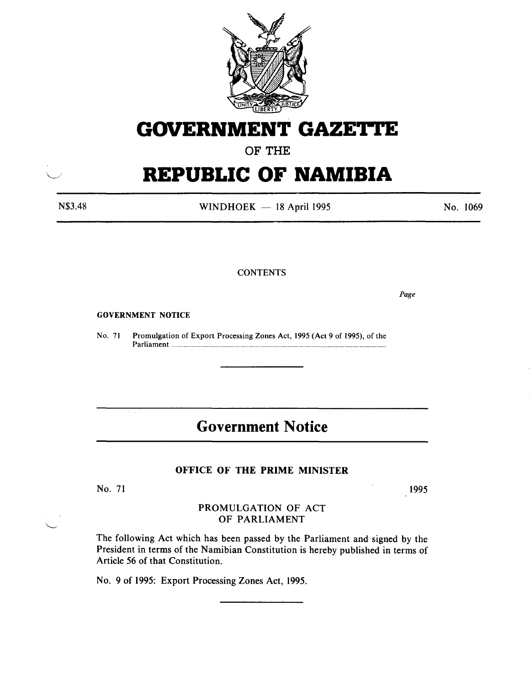

## **GOVERNMENT GAZETTE**

**OF THE** 

# **REPUBLIC OF NAMIBIA**

N\$3.48

WINDHOEK  $-$  18 April 1995

No. 1069

**CONTENTS** 

*Page* 

#### GOVERNMENT NOTICE

No. 71 Promulgation of Export Processing Zones Act, 1995 (Act 9 of 1995), of the Parliament ............................................................................................................................... .

## **Government Notice**

## **OFFICE OF THE PRIME MINISTER**

No. 71

1995

## PROMULGATION OF ACT OF PARLIAMENT

The following Act which has been passed by the Parliament and signed by the President in terms of the Namibian Constitution is hereby published in terms of Article 56 of that Constitution.

No. 9 of 1995: Export Processing Zones Act, 1995.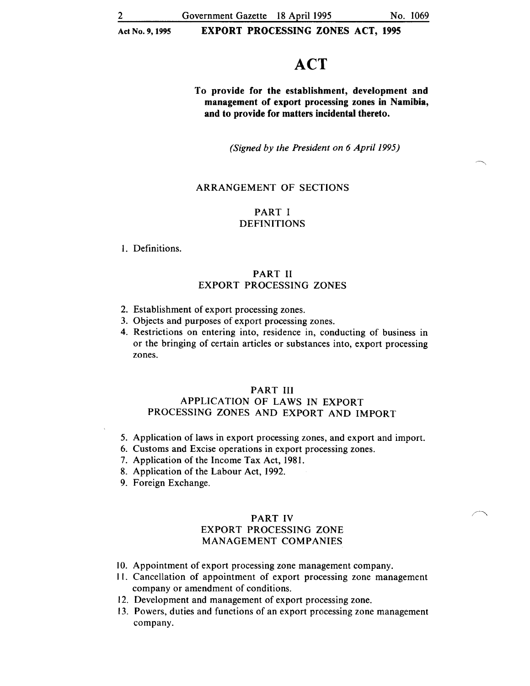## **ACT**

To provide for the establishment, development and management of export processing zones in Namibia, and to provide for matters incidental thereto.

*(Signed by the President on 6 Apri/1995)* 

## ARRANGEMENT OF SECTIONS

## PART I DEFINITIONS

1. Definitions.

## PART II EXPORT PROCESSING ZONES

- 2. Establishment of export processing zones.
- 3. Objects and purposes of export processing zones.
- 4. Restrictions on entering into, residence in, conducting of business in or the bringing of certain articles or substances into, export processing zones.

## PART III APPLICATION OF LAWS IN EXPORT PROCESSING ZONES AND EXPORT AND IMPORT

- 5. Application of laws in export processing zones, and export and import.
- 6. Customs and Excise operations in export processing zones.
- 7. Application of the Income Tax Act, 1981.
- 8. Application of the Labour Act, 1992.
- 9. Foreign Exchange.

## PART IV

#### EXPORT PROCESSING ZONE MANAGEMENT COMPANIES

- 10. Appointment of export processing zone management company.
- 11. Cancellation of appointment of export processing zone management company or amendment of conditions.
- 12. Development and management of export processing zone.
- 13. Powers, duties and functions of an export processing zone management company.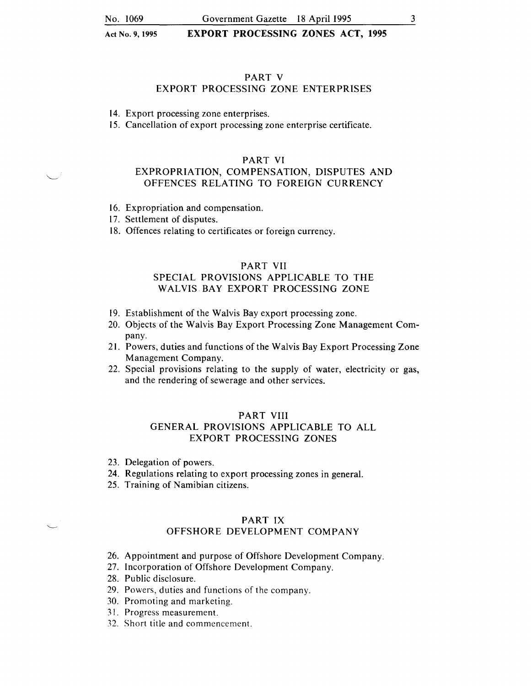## PART V

#### EXPORT PROCESSING ZONE ENTERPRISES

14. Export processing zone enterprises.

15. Cancellation of export processing zone enterprise certificate.

#### PART VI

## EXPROPRIATION, COMPENSATION, DISPUTES AND OFFENCES RELATING TO FOREIGN CURRENCY

16. Expropriation and compensation.

17. Settlement of disputes.

18. Offences relating to certificates or foreign currency.

#### PART VII

## SPECIAL PROVISIONS APPLICABLE TO THE WALVIS BAY EXPORT PROCESSING ZONE

- 19. Establishment of the Walvis Bay export processing zone.
- 20. Objects of the Walvis Bay Export Processing Zone Management Company.
- 21. Powers, duties and functions of the Walvis Bay Export Processing Zone Management Company.
- 22. Special provisions relating to the supply of water, electricity or gas, and the rendering of sewerage and other services.

#### PART VIII

## GENERAL PROVISIONS APPLICABLE TO ALL EXPORT PROCESSING ZONES

- 23. Delegation of powers.
- 24. Regulations relating to export processing zones in general.
- 25. Training of Namibian citizens.

#### PART IX

## OFFSHORE DEVELOPMENT COMPANY

- 26. Appointment and purpose of Offshore Development Company.
- 27. Incorporation of Offshore Development Company.
- 28. Public disclosure.
- 29. Powers, duties and functions of the company.
- 30. Promoting and marketing.
- 31. Progress measurement.
- 32. Short title and commencement.

3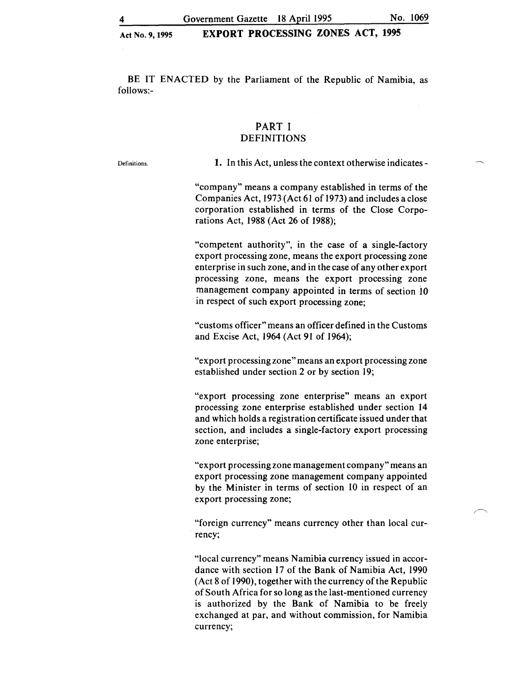Government Gazette 18 April 1995 No. 1069

## Act No. 9, 1995 EXPORT PROCESSING ZONES ACT, 1995

BE IT ENACTED by the Parliament of the Republic of Namibia, as follows:-

## PART I DEFINITIONS

Definitions.

1. In this Act, unless the context otherwise indicates-

"company" means a company established in terms of the Companies Act, 1973 (Act 61 of 1973) and includes a close corporation established in terms of the Close Corporations Act, 1988 (Act 26 of 1988);

"competent authority", in the case of a single-factory export processing zone, means the export processing zone enterprise in such zone, and in the case of any other export processing zone, means the export processing zone management company appointed in terms of section 10 in respect of such export processing zone;

"customs officer" means an officer defined in the Customs and Excise Act, 1964 (Act 91 of 1964);

"export processing zone" means an export processing zone established under section 2 or by section 19;

"export processing zone enterprise" means an export processing zone enterprise established under section 14 and which holds a registration certificate issued under that section, and includes a single-factory export processing zone enterprise;

"export processing zone management company" means an export processing zone management company appointed by the Minister in terms of section 10 in respect of an export processing zone;

"foreign currency" means currency other than local currency;

"local currency" means Namibia currency issued in accordance with section 17 of the Bank of Namibia Act, 1990 (Act 8 of 1990), together with the currency of the Republic of South Africa for so long as the last-mentioned currency is authorized by the Bank of Namibia to be freely exchanged at par, and without commission, for Namibia currency;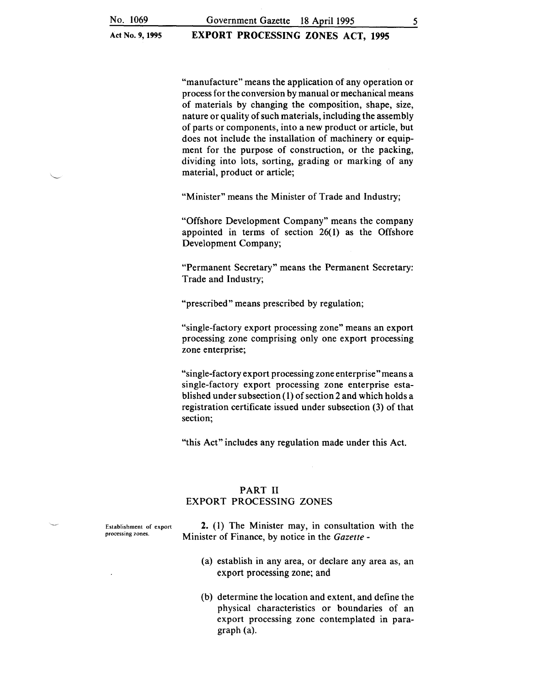"manufacture" means the application of any operation or process for the conversion by manual or mechanical means of materials by changing the composition, shape, size, nature or quality of such materials, including the assembly of parts or components, into a new product or article, but does not include the installation of machinery or equipment for the purpose of construction, or the packing, dividing into lots, sorting, grading or marking of any material, product or article;

"Minister" means the Minister of Trade and Industry;

"Offshore Development Company" means the company appointed in terms of section 26(1) as the Offshore Development Company;

"Permanent Secretary" means the Permanent Secretary: Trade and Industry;

"prescribed" means prescribed by regulation;

"single-factory export processing zone" means an export processing zone comprising only one export processing zone enterprise;

"single-factory export processing zone enterprise"means a single-factory export processing zone enterprise established under subsection (1) of section 2 and which holds a registration certificate issued under subsection (3) of that section;

"this Act" includes any regulation made under this Act.

## PART II EXPORT PROCESSING ZONES

Establishment of export processing zones.

2. ( 1) The Minister may, in consultation with the Minister of Finance, by notice in the *Gazette* -

- (a) establish in any area, or declare any area as, an export processing zone; and
- (b) determine the location and extent, and define the physical characteristics or boundaries of an export processing zone contemplated in paragraph (a).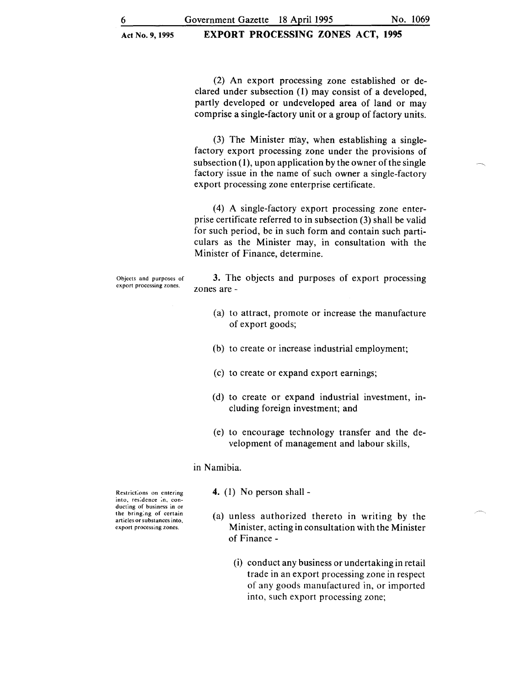(2) An export processing zone established or declared under subsection (I) may consist of a developed, partly developed or undeveloped area of land or may comprise a single-factory unit or a group of factory units.

(3) The Minister may, when establishing a singlefactory export processing zone under the provisions of subsection (I), upon application by the owner of the single factory issue in the name of such owner a single-factory export processing zone enterprise certificate.

( 4) A single-factory export processing zone enterprise certificate referred to in subsection (3) shall be valid for such period, be in such form and contain such particulars as the Minister may, in consultation with the Minister of Finance, determine.

Objects and purposes of export processing zones.

3. The objects and purposes of export processing zones are-

- (a) to attract, promote or increase the manufacture of export goods;
- (b) to create or increase industrial employment;
- (c) to create or expand export earnings;
- (d) to create or expand industrial investment, mcluding foreign investment; and
- (e) to encourage technology transfer and the development of management and labour skills,

in Namibia.

Restrict:ons on entering into, res:dence :n. conducting of business in or the bring:ng of certain articles or substances into, export processing zones.

- 4. (I) No person shall -
- (a) unless authorized thereto in writing by the Minister, acting in consultation with the Minister of Finance-
	- (i) conduct any business or undertaking in retail trade in an export processing zone in respect of any goods manufactured in, or imported into, such export processing zone;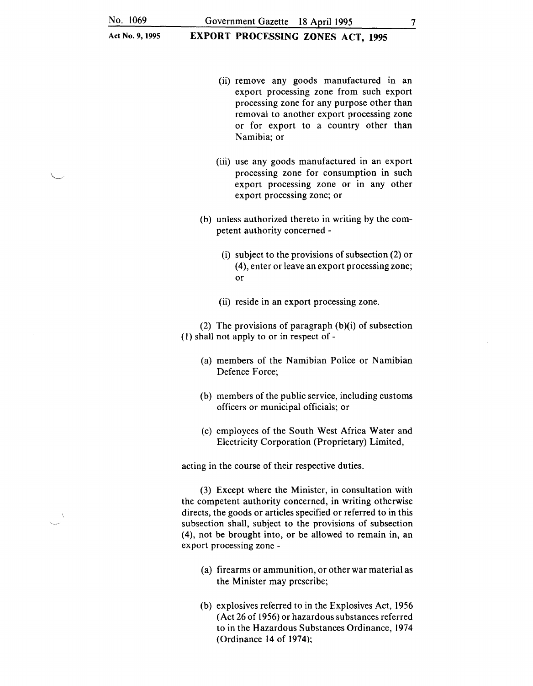EXPORT PROCESSING ZONES ACT, 1995

- (ii) remove any goods manufactured in an export processing zone from such export processing zone for any purpose other than removal to another export processing zone or for export to a country other than Namibia; or
- (iii) use any goods manufactured in an export processing zone for consumption in such export processing zone or in any other export processing zone; or
- (b) unless authorized thereto in writing by the competent authority concerned -
	- (i) subject to the provisions of subsection (2) or ( 4), enter or leave an export processing zone; or
	- (ii) reside in an export processing zone.

(2) The provisions of paragraph  $(b)(i)$  of subsection (I) shall not apply to or in respect of -

- (a) members of the Namibian Police or Namibian Defence Force;
- (b) members of the public service, including customs officers or municipal officials; or
- (c) employees of the South West Africa Water and Electricity Corporation (Proprietary) Limited,

acting in the course of their respective duties.

(3) Except where the Minister, in consultation with the competent authority concerned, in writing otherwise directs, the goods or articles specified or referred to in this subsection shall, subject to the provisions of subsection (4), not be brought into, or be allowed to remain in, an export processing zone -

- (a) firearms or ammunition, or other war material as the Minister may prescribe;
- (b) explosives referred to in the Explosives Act, 1956 (Act 26 of 1956) or hazardous substances referred to in the Hazardous Substances Ordinance, 1974 (Ordinance 14 of 1974);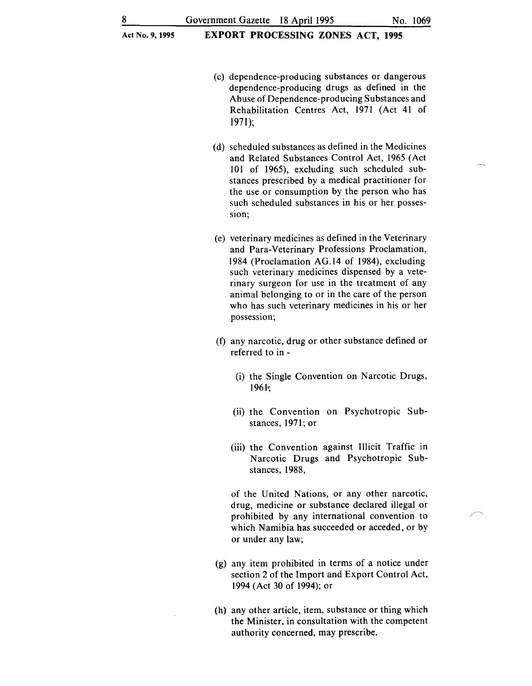- (c) dependence-producing substances or dangerous dependence-producing drugs as defined in the Abuse of Dependence-producing Substances and Rehabilitation Centres Act, 1971 (Act 41 of  $1971$ :
- (d) scheduled substances as defined in the Medicines and Related Substances Control Act, 1965 (Act 101 of 1965), excluding such scheduled substances prescribed by a medical practitioner for the use or consumption by the person who has such scheduled substances in his or her possession:
- (e) veterinary medicines as defined in the Veterinary and Para-Veterinary Professions Proclamation, 1984 (Proclamation AG .14 of 1984), excluding such veterinary medicines dispensed by a veterinary surgeon for use in the treatment of any animal belonging to or in the care of the person who has such veterinary medicines in his or her possession;
- (f) any narcotic, drug or other substance defined or referred to in -
	- (i) the Single Convention on Narcotic Drugs, 1961·;
	- (ii) the Convention on Psychotropic Substances, 1971; or
	- (iii) the Convention against Illicit Traffic in Narcotic Drugs and Psychotropic Substances, 1988,

of the United Nations, or any other narcotic, drug, medicine or substance declared illegal or prohibited by any international convention to which Namibia has succeeded or acceded, or by or under any law;

- (g) any item prohibited in terms of a notice under section 2 of the Import and Export Control Act, 1994 (Act 30 of 1994); or
- (h) any other article, item, substance or thing which the Minister, in consultation with the competent authority concerned, may prescribe.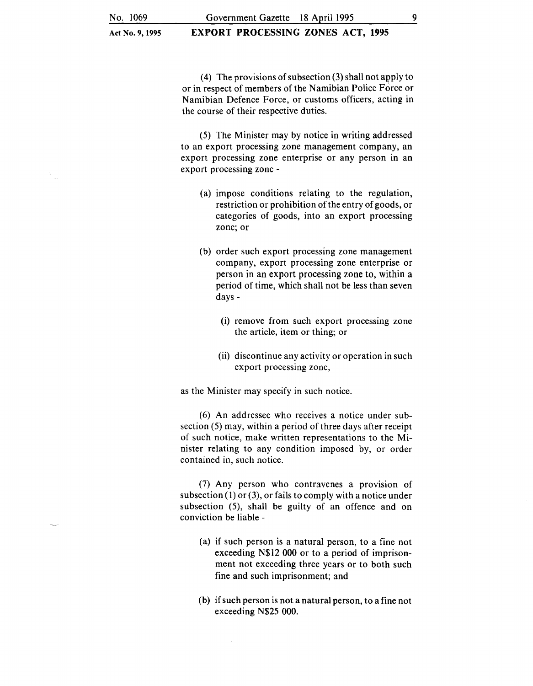EXPORT PROCESSING ZONES ACT, 1995

(4) The provisions of subsection  $(3)$  shall not apply to or in respect of members of the Namibian Police Force or Namibian Defence Force, or customs officers, acting in the course of their respective duties.

(5) The Minister may by notice in writing addressed to an export processing zone management company, an export processing zone enterprise or any person in an export processing zone -

- (a) impose conditions relating to the regulation, restriction or prohibition of the entry of goods, or categories of goods, into an export processing zone; or
- (b) order such export processing zone management company, export processing zone enterprise or person in an export processing zone to, within a period of time, which shall not be less than seven days-
	- (i) remove from such export processing zone the article, item or thing; or
	- (ii) discontinue any activity or operation in such export processing zone,

as the Minister may specify in such notice.

(6) An addressee who receives a notice under subsection (5) may, within a period of three days after receipt of such notice, make written representations to the Minister relating to any condition imposed by, or order contained in, such notice.

 $(7)$  Any person who contravenes a provision of subsection  $(1)$  or  $(3)$ , or fails to comply with a notice under subsection (5), shall be guilty of an offence and on conviction be liable -

- (a) if such person is a natural person, to a fine not exceeding N\$12 000 or to a period of imprisonment not exceeding three years or to both such fine and such imprisonment; and
- (b) if such person is not a natural person, to a fine not exceeding N\$25 000.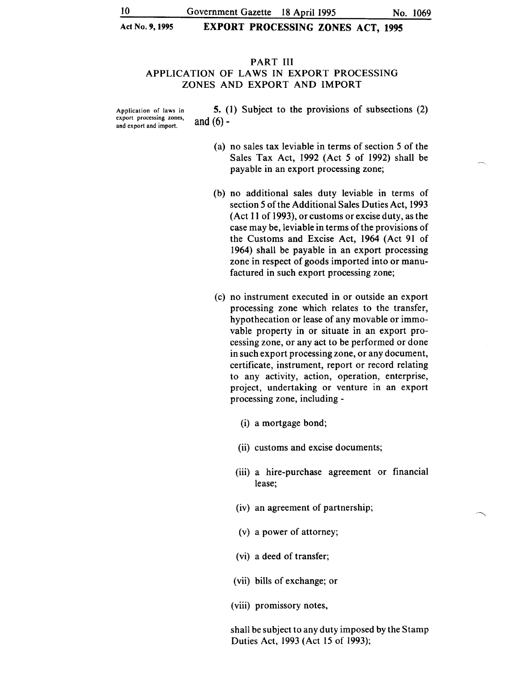## PART III APPLICATION OF LAWS IN EXPORT PROCESSING ZONES AND EXPORT AND IMPORT

Application of laws in export processing zones, and export and import.

5. (1) Subject to the provisions of subsections (2) and  $(6)$  -

- (a) no sales tax leviable in terms of section *5* of the Sales Tax Act, 1992 (Act *5* of 1992) shall be payable in an export processing zone;
- (b) no additional sales duty leviable in terms of section *5* of the Additional Sales Duties Act, 1993 (Act 11 of 1993), or customs or excise duty, as the case may be, leviable in terms of the provisions of the Customs and Excise Act, 1964 (Act 91 of 1964) shall be payable in an export processing zone in respect of goods imported into or manufactured in such export processing zone;
- (c) no instrument executed in or outside an export processing zone which relates to the transfer, hypothecation or lease of any movable or immovable property in or situate in an export processing zone, or any act to be performed or done in such export processing zone, or any document, certificate, instrument, report or record relating to any activity, action, operation, enterprise, project, undertaking or venture in an export processing zone, including -
	- (i) a mortgage bond;
	- (ii) customs and excise documents;
	- (iii) a hire-purchase agreement or financial lease;
	- (iv) an agreement of partnership;
	- (v) a power of attorney;
	- (vi) a deed of transfer;
	- (vii) bills of exchange; or
	- (viii) promissory notes,

shall be subject to any duty imposed by the Stamp Duties Act, 1993 (Act 15 of 1993);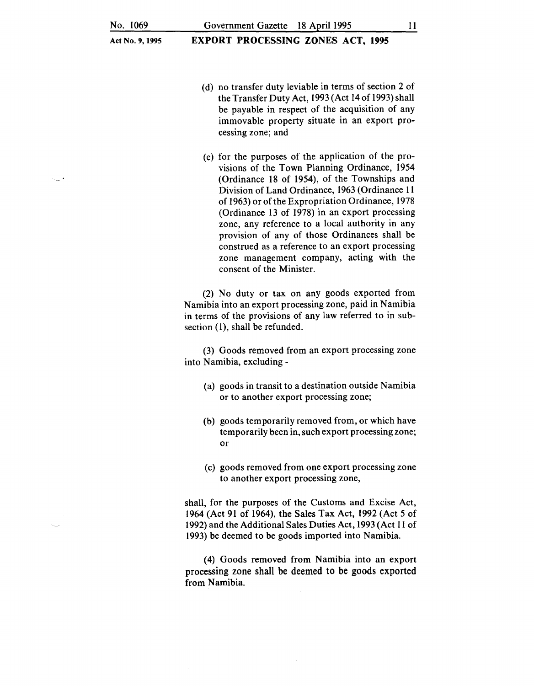Government Gazette 18 April 1995 11

EXPORT PROCESSING ZONES ACT, 1995

- (d) no transfer duty leviable in terms of section 2 of the Transfer Duty Act, 1993 (Act 14 of 1993) shall be payable in respect of the acquisition of any immovable property situate in an export processing zone; and
- (e) for the purposes of the application of the provisions of the Town Planning Ordinance, 1954 (Ordinance 18 of 1954), of the Townships and Division of Land Ordinance, 1963 (Ordinance 11 of 1963) or of the Expropriation Ordinance, 1978 (Ordinance 13 of 1978) in an export processing zone, any reference to a local authority in any provision of any of those Ordinances shall be construed as a reference to an export processing zone management company, acting with the consent of the Minister.

(2) No duty or tax on any goods exported from Namibia into an export processing zone, paid in Namibia in terms of the provisions of any law referred to in subsection  $(1)$ , shall be refunded.

(3) Goods removed from an export processing zone into Namibia, excluding -

- (a) goods in transit to a destination outside Namibia or to another export processing zone;
- (b) goods temporarily removed from, or which have temporarily been in, such export processing zone; or
- (c) goods removed from one export processing zone to another export processing zone,

shall, for the purposes of the Customs and Excise Act, 1964 (Act 91 of 1964), the Sales Tax Act, 1992 (Act 5 of 1992) and the Additional Sales Duties Act, 1993 (Act 11 of 1993) be deemed to be goods imported into Namibia.

( 4) Goods removed from Namibia into an export processing zone shall be deemed to be goods exported from Namibia.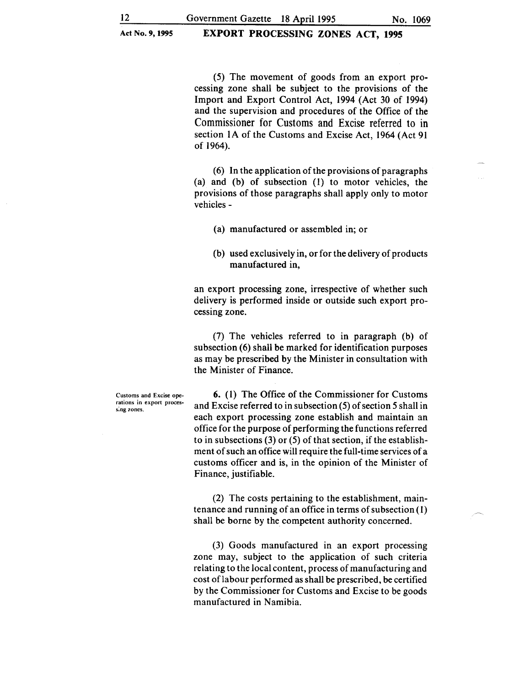(5) The movement of goods from an export processing zone shall be subject to the provisions of the Import and Export Control Act, 1994 (Act 30 of 1994) and the supervision and procedures of the Office of the Commissioner for Customs and Excise referred to in section 1A of the Customs and Excise Act, 1964 (Act 91 of 1964).

(6) In the application of the provisions of paragraphs (a) and (b) of subsection (1) to motor vehicles, the provisions of those paragraphs shall apply only to motor vehicles-

(a) manufactured or assembled in; or

(b) used exclusively in, or for the delivery of products manufactured in,

an export processing zone, irrespective of whether such delivery is performed inside or outside such export processing zone.

(7) The vehicles referred to in paragraph (b) of subsection (6) shall be marked for identification purposes as may be prescribed by the Minister in consultation with the Minister of Finance.

Customs and Excise operations in export processing zones.

6. (1) The Office of the Commissioner for Customs and Excise referred to in subsection ( 5) of section *5* shall in each export processing zone establish and maintain an office for the purpose of performing the functions referred to in subsections (3) or (5) of that section, if the establishment of such an office will require the full-time services of a customs officer and is, in the opinion of the Minister of Finance, justifiable.

(2) The costs pertaining to the establishment, maintenance and running of an office in terms of subsection ( 1) shall be borne by the competent authority concerned.

(3) Goods manufactured in an export processing zone may, subject to the application of such criteria relating to the local content, process of manufacturing and cost oflabour performed as shall be prescribed, be certified by the Commissioner for Customs and Excise to be goods manufactured in Namibia.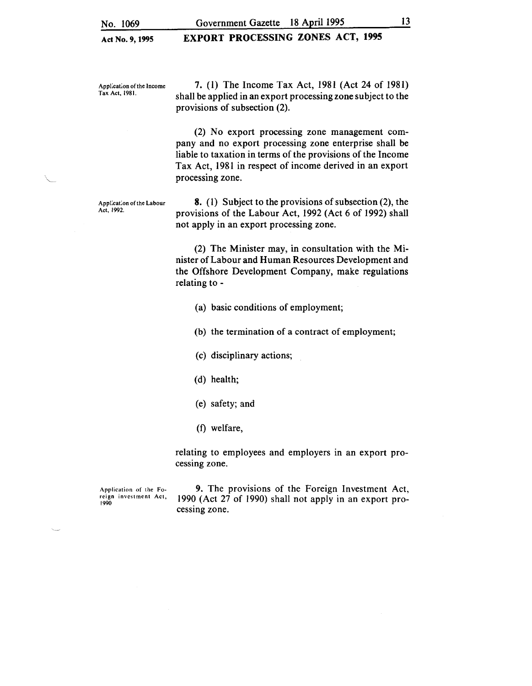## EXPORT PROCESSING ZONES ACT, 1995

Appl:cat;on of the Income Tax Act, 1981.

7. (1) The Income Tax Act, 1981 (Act 24 of 1981) shall be applied in an export processing zone subject to the provisions of subsection (2).

(2) No export processing zone management company and no export processing zone enterprise shall be liable to taxation in terms of the provisions of the Income Tax Act, 1981 in respect of income derived in an export processing zone.

Appl:cat:on of the Labour Act, 1992.

8. (I) Subject to the provisions of subsection (2), the provisions of the Labour Act, 1992 (Act 6 of 1992) shall not apply in an export processing zone.

(2) The Minister may, in consultation with the Minister of Labour and Human Resources Development and the Offshore Development Company, make regulations relating to -

- (a) basic conditions of employment;
- (b) the termination of a contract of employment;
- (c) disciplinary actions;
- (d) health;
- (e) safety; and
- (f) welfare,

relating to employees and employers in an export processing zone.

Application of the Foreign investment Act, 1990

9. The provisions of the Foreign Investment Act, 1990 (Act 27 of 1990) shall not apply in an export processing zone.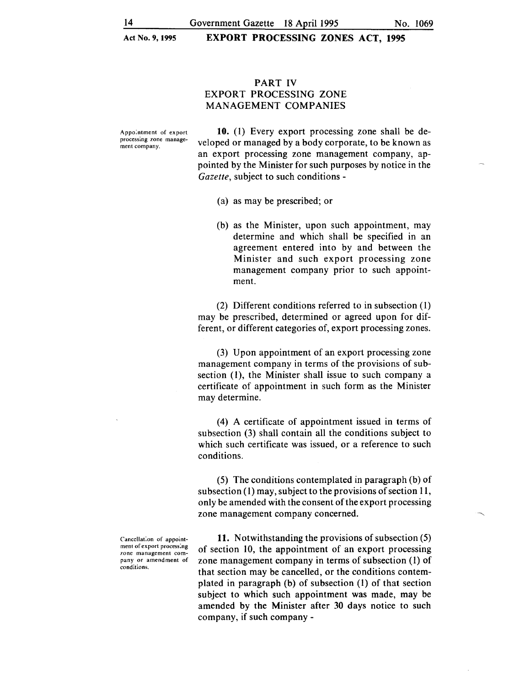## PART IV EXPORT PROCESSING ZONE MANAGEMENT COMPANIES

Appo:ntment of export processing zone management company.

10. (1) Every export processing zone shall be developed or managed by a body corporate, to be known as an export processing zone management company, appointed by the Minister for such purposes by notice in the *Gazette,* subject to such conditions -

- (a) as may be prescribed; or
- (b) as the Minister, upon such appointment, may determine and which shall be specified in an agreement entered into by and between the Minister and such export processing zone management company prior to such appointment.

(2) Different conditions referred to in subsection ( 1) may be prescribed, determined or agreed upon for different, or different categories of, export processing zones.

(3) Upon appointment of an export processing zone management company in terms of the provisions of subsection (1), the Minister shall issue to such company a certificate of appointment in such form as the Minister may determine.

(4) A certificate of appointment issued in terms of subsection (3) shall contain all the conditions subject to which such certificate was issued, or a reference to such conditions.

(5) The conditions contemplated in paragraph (b) of subsection  $(1)$  may, subject to the provisions of section 11, only be amended with the consent of the export processing zone management company concerned.

Cancellat:on of appointment of export process:ng zone management company or amendment of conditions.

11. Notwithstanding the provisions of subsection (5) of section 10, the appointment of an export processing zone management company in terms of subsection (1) of that section may be cancelled, or the conditions contemplated in paragraph (b) of subsection (1) of that section subject to which such appointment was made, may be amended by the Minister after 30 days notice to such company, if such company-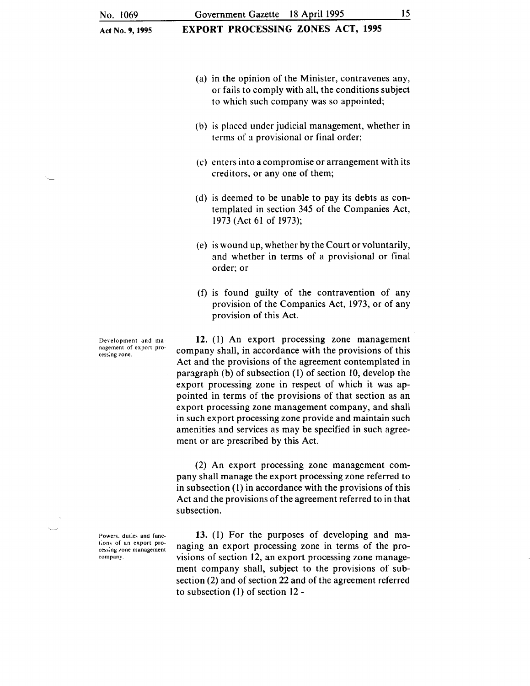#### Government Gazette 18 April 1995 15

EXPORT PROCESSING ZONES ACT, 1995

- (a) in the opinion of the Minister, contravenes any, or fails to comply with all, the conditions subject to which such company was so appointed;
- (b) is placed under judicial management, whether in terms of a provisional or final order;
- (c) enters into a compromise or arrangement with its creditors, or any one of them;
- (d) is deemed to be unable to pay its debts as contemplated in section 345 of the Companies Act, 1973 (Act 61 of 1973);
- (e) is wound up, whether by the Court or voluntarily, and whether in terms of a provisional or final order; or
- (f) is found guilty of the contravention of any provision of the Companies Act, 1973, or of any provision of this Act.

12. (1) An export processing zone management company shall, in accordance with the provisions of this Act and the provisions of the agreement contemplated in paragraph (b) of subsection (I) of section 10, develop the export processing zone in respect of which it was appointed in terms of the provisions of that section as an export processing zone management company, and shall in such export processing zone provide and maintain such amenities and services as may be specified in such agreement or are prescribed by this Act.

(2) An export processing zone management company shall manage the export processing zone referred to in subsection (1) in accordance with the provisions of this Act and the provisions of the agreement referred to in that subsection.

13. (l) For the purposes of developing and managing an export processing zone in terms of the provisions of section 12, an export processing zone management company shall, subject to the provisions of subsection (2) and of section 22 and of the agreement referred to subsection (l) of section 12-

Development and management of export processing zone.

Powers, duties and functions of an export processing zone management company.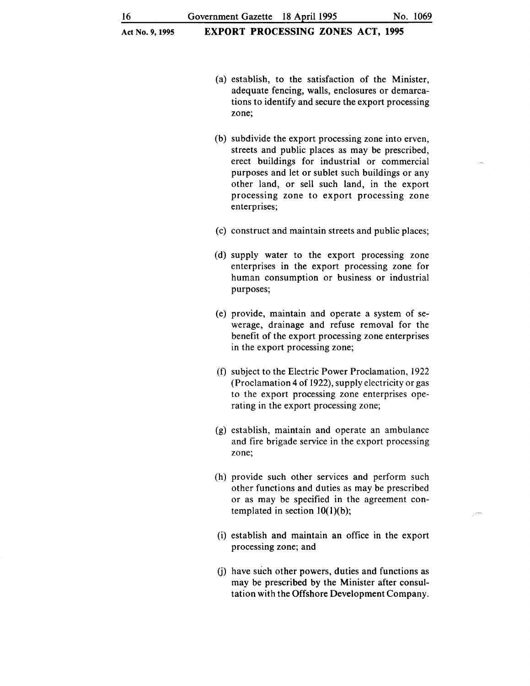- (a) establish, to the satisfaction of the Minister, adequate fencing, walls, enclosures or demarcations to identify and secure the export processing zone;
- (b) subdivide the export processing zone into erven, streets and public places as may be prescribed, erect buildings for industrial or commercial purposes and let or sublet such buildings or any other land, or sell such land, in the export processing zone to export processing zone enterprises;
- (c) construct and maintain streets and public places;
- (d) supply water to the export processing zone enterprises in the export processing zone for human consumption or business or industrial purposes;
- (e) provide, maintain and operate a system of sewerage, drainage and refuse removal for the benefit of the export processing zone enterprises in the export processing zone;
- (f) subject to the Electric Power Proclamation, 1922 (Proclamation 4 of 1922), supply electricity or gas to the export processing zone enterprises operating in the export processing zone;
- (g) establish, maintain and operate an ambulance and fire brigade service in the export processing zone;
- (h) provide such other services and perform such other functions and duties as may be prescribed or as may be specified in the agreement contemplated in section  $10(1)(b)$ ;
- (i) establish and maintain an office in the export processing zone; and
- (j) have such other powers, duties and functions as may be prescribed by the Minister after consultation with the Offshore Development Company.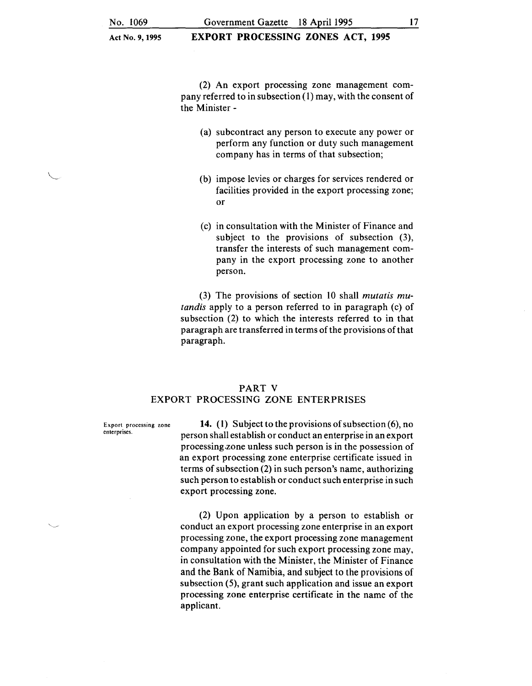EXPORT PROCESSING ZONES ACT, 1995

(2) An export processing zone management company referred to in subsection (1) may, with the consent of the Minister -

- (a) subcontract any person to execute any power or perform any function or duty such management company has in terms of that subsection;
- (b) impose levies or charges for services rendered or facilities provided in the export processing zone; or
- (c) in consultation with the Minister of Finance and subject to the provisions of subsection (3), transfer the interests of such management company in the export processing zone to another person.

(3) The provisions of section 10 shall *mutatis mutandis* apply to a person referred to in paragraph (c) of subsection (2) to which the interests referred to in that paragraph are transferred in terms of the provisions of that paragraph.

#### PART V

## EXPORT PROCESSING ZONE ENTERPRISES

Export processing zone enterprises.

14. (1) Subject to the provisions of subsection (6), no person shall establish or conduct an enterprise in an export processing.zone unless such person is in the possession of an export processing zone enterprise certificate issued in terms of subsection (2) in such person's name, authorizing such person to establish or conduct such enterprise in such export processing zone.

(2) Upon application by a person to establish or conduct an export processing zone enterprise in an export processing zone, the export processing zone management company appointed for such export processing zone may, in consultation with the Minister, the Minister of Finance and the Bank of Namibia, and subject to the provisions of subsection (5), grant such application and issue an export processing zone enterprise certificate in the name of the applicant.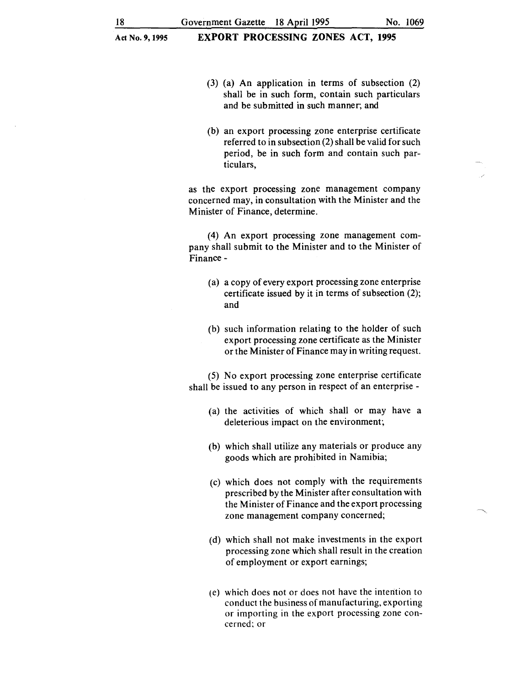- (3) (a) An application in terms of subsection (2) shall be in such form, contain such particulars and be submitted in such manner; and
- (b) an export processing zone enterprise certificate referred to in subsection (2) shall be valid for such period, be in such form and contain such particulars,

as the export processing zone management company concerned may, in consultation with the Minister and the Minister of Finance, determine.

(4) An export processing zone management company shall submit to the Minister and to the Minister of Finance-

- (a) a copy of every export processing zone enterprise certificate issued by it in terms of subsection (2); and
- (b) such information relating to the holder of such export processing zone certificate as the Minister or the Minister of Finance may in writing request.

(5) No export processing zone enterprise certificate shall be issued to any person in respect of an enterprise -

- (a) the activities of which shall or may have a deleterious impact on the environment;
- (b) which shall utilize any materials or produce any goods which are prohibited in Namibia;
- (c) which does not comply with the requirements prescribed by the Minister after consultation with the Minister of Finance and the export processing zone management company concerned;
- (d) which shall not make investments in the export processing zone which shall result in the creation of employment or export earnings;
- (e) which does not or does not have the intention to conduct the business of manufacturing, exporting or importing in the export processing zone concerned; or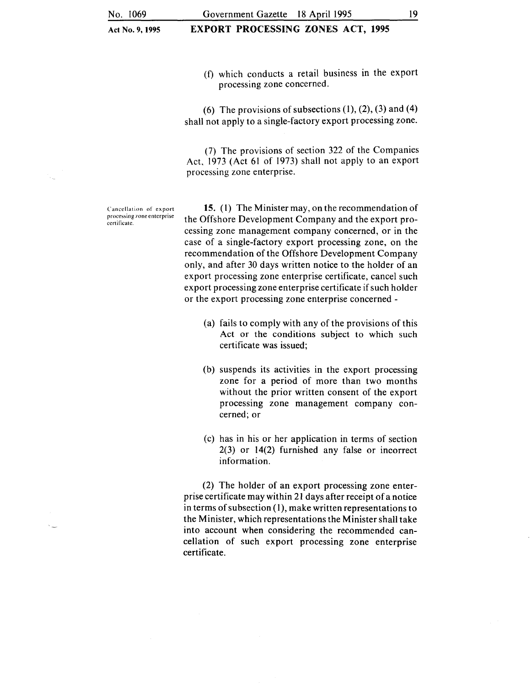## EXPORT PROCESSING ZONES ACT, 1995

(f) which conducts a retail business in the export processing zone concerned.

(6) The provisions of subsections  $(1)$ ,  $(2)$ ,  $(3)$  and  $(4)$ shall not apply to a single-factory export processing zone.

(7) The provisions of section 322 of the Companies Act, 1973 (Act 61 of 1973) shall not apply to an export processing zone enterprise.

Cancellation of export processing 7one enterprise certificate.

15. (1) The Minister may, on the recommendation of the Offshore Development Company and the export processing zone management company concerned, or in the case of a single-factory export processing zone, on the recommendation of the Offshore Development Company only, and after 30 days written notice to the holder of an export processing zone enterprise certificate, cancel such export processing zone enterprise certificate if such holder or the export processing zone enterprise concerned -

- (a) fails to comply with any of the provisions of this Act or the conditions subject to which such certificate was issued;
- (b) suspends its activities in the export processing zone for a period of more than two months without the prior written consent of the export processing zone management company concerned; or
- (c) has in his or her application in terms of section 2(3) or 14(2) furnished any false or incorrect information.

(2) The holder of an export processing zone enterprise certificate may within 21 days after receipt of a notice in terms of subsection  $(1)$ , make written representations to the Minister, which representations the Minister shall take into account when considering the recommended cancellation of such export processing zone enterprise certificate.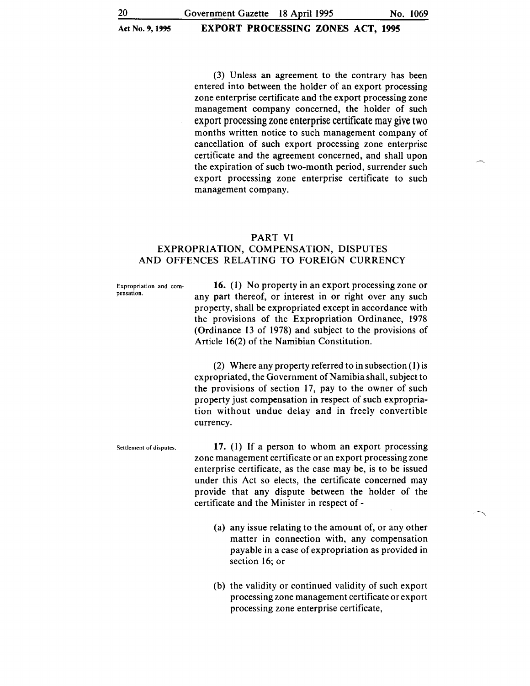(3) Unless an agreement to the contrary has been entered into between the holder of an export processing zone enterprise certificate and the export processing zone management company concerned, the holder of such export processing zone enterprise certificate may give two months written notice to such management company of cancellation of such export processing zone enterprise certificate and the agreement concerned, and shall upon the expiration of such two-month period, surrender such export processing zone enterprise certificate to such management company.

#### PART VI

## EXPROPRIATION, COMPENSATION, DISPUTES AND OFFENCES RELATING TO FOREIGN CURRENCY

Expropriation and compensation.

**16.** (1) No property in an export processing zone or any part thereof, or interest in or right over any such property, shall be expropriated except in accordance with the provisions of the Expropriation Ordinance, 1978 (Ordinance 13 of 1978) and subject to the provisions of Article 16(2) of the Namibian Constitution.

(2) Where any property referred to in subsection ( 1) is expropriated, the Government of Namibia shall, subject to the provisions of section 17, pay to the owner of such property just compensation in respect of such expropriation without undue delay and in freely convertible currency.

Settlement of disputes. **17.** (1) If a person to whom an export processing zone management certificate or an export processing zone enterprise certificate, as the case may be, is to be issued under this Act so elects, the certificate concerned may provide that any dispute between the holder of the certificate and the Minister in respect of-

- (a) any issue relating to the amount of, or any other matter in connection with, any compensation payable in a case of expropriation as provided in section 16; or
- (b) the validity or continued validity of such export processing zone management certificate or export processing zone enterprise certificate,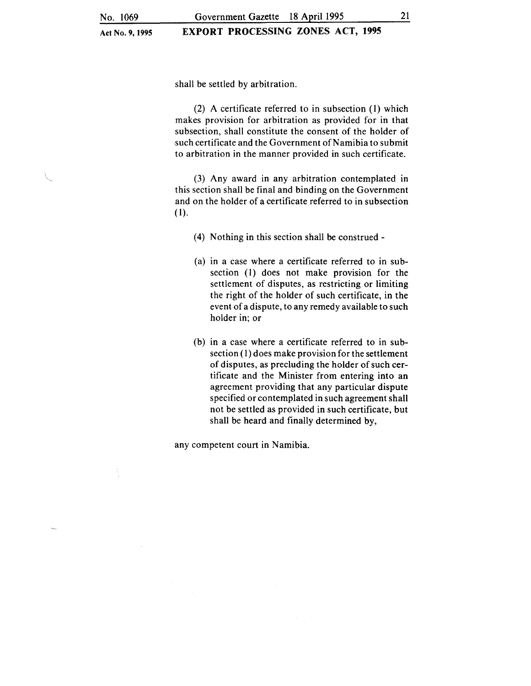## EXPORT PROCESSING ZONES ACT, 1995

shall be settled by arbitration.

(2) A certificate referred to in subsection (1) which makes provision for arbitration as provided for in that subsection, shall constitute the consent of the holder of such certificate and the Government of Namibia to submit to arbitration in the manner provided in such certificate.

(3) Any award in any arbitration contemplated in this section shall be final and binding on the Government and on the holder of a certificate referred to in subsection (1).

- (4) Nothing in this section shall be construed-
- (a) in a case where a certificate referred to in subsection (I) does not make provision for the settlement of disputes, as restricting or limiting the right of the holder of such certificate, in the event of a dispute, to any remedy available to such holder in; or
- (b) in a case where a certificate referred to in sub $section(1)$  does make provision for the settlement of disputes, as precluding the holder of such certificate and the Minister from entering into an agreement providing that any particular dispute specified or contemplated in such agreement shall not be settled as provided in such certificate, but shall be heard and finally determined by,

any competent court in Namibia.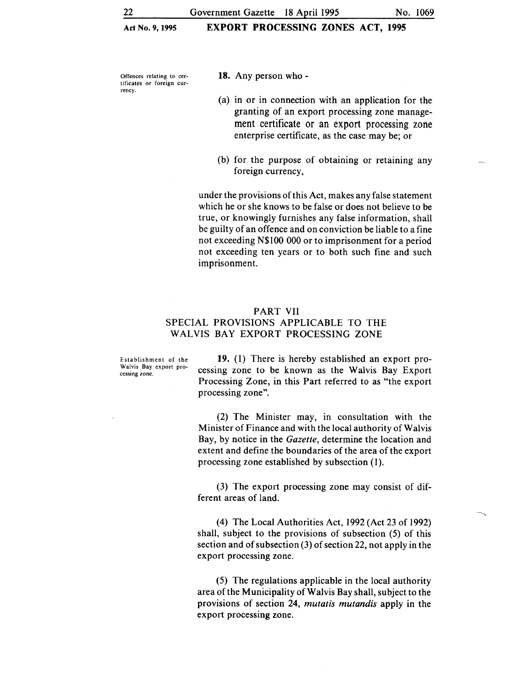Offences relating to cer-<br>tificates or foreign cur-<br> $18.$  Any person who rency.

- 
- (a) in or in connection with an application for the granting of an export processing zone management certificate or an export processing zone enterprise certificate, as the case may be; or
- (b) for the purpose of obtaining or retaining any foreign currency,

under the provisions of this Act, makes any false statement which he or she knows to be false or does not believe to be true, or knowingly furnishes any false information, shall be guilty of an offence and on conviction be liable to a fine not exceeding N\$100 000 or to imprisonment for a period not exceeding ten years or to both such fine and such imprisonment.

#### PART VII

## SPECIAL PROVISIONS APPLICABLE TO THE WALVIS BAY EXPORT PROCESSING ZONE

Establishment of the Walvis Bay export processing zone.

19. (1) There is hereby established an export processing zone to be known as the Walvis Bay Export Processing Zone, in this Part referred to as "the export processing zone".

(2) The Minister may, in consultation with the Minister of Finance and with the local authority of Walvis Bay, by notice in the *Gazette,* determine the location and extent and define the boundaries of the area of the export processing zone established by subsection (1).

(3) The export processing zone may consist of different areas of land.

(4) The Local Authorities Act, 1992 (Act 23 of 1992) shall, subject to the provisions of subsection (5) of this section and of subsection (3) of section 22, not apply in the export processing zone.

(5) The regulations applicable in the local authority area ofthe Municipality of Walvis Bay shall, subject to the provisions of section 24, *mutatis mutandis* apply in the export processing zone.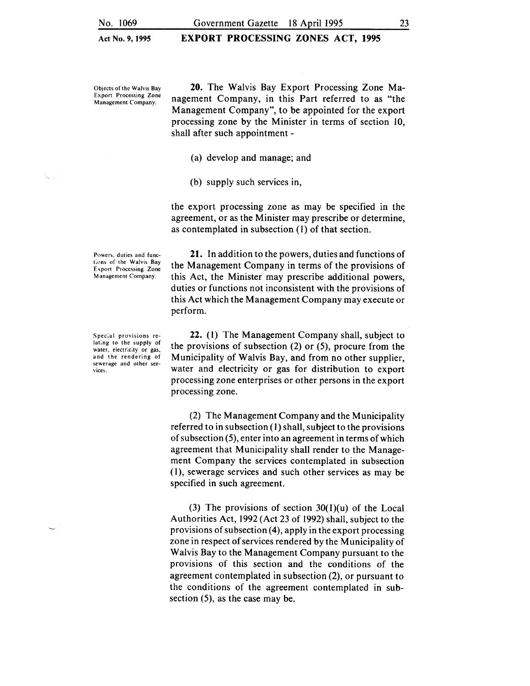EXPORT PROCESSING ZONES ACT, 1995

Objects of the Walvis Bay Export Processing Zone Management Company.

20. The Walvis Bay Export Processing Zone Management Company, in this Part referred to as "the Management Company", to be appointed for the export processing zone by the Minister in terms of section 10, shall after such appointment -

(a) develop and manage; and

(b) supply such services in,

the export processing zone as may be specified in the agreement, or as the Minister may prescribe or determine, as contemplated in subsection (I) of that section.

21. In addition to the powers, duties and functions of the Management Company in terms of the provisions of this Act, the Minister may prescribe additional powers, duties or functions not inconsistent with the provisions of this Act which the Management Company may execute or perform.

22. (I) The Management Company shall, subject to the provisions of subsection (2) or (5), procure from the Municipality of Walvis Bay, and from no other supplier, water and electricity or gas for distribution to export processing zone enterprises or other persons in the export processing zone.

(2) The Management Company and the Municipality referred to in subsection (I) shall, subject to the provisions of subsection (5), enter into an agreement in terms of which agreement that Municipality shall render to the Management Company the services contemplated in subsection (I), sewerage services and such other services as may be specified in such agreement.

(3) The provisions of section  $30(1)(u)$  of the Local Authorities Act, 1992 (Act 23 of 1992) shall, subject to the provisions of subsection  $(4)$ , apply in the export processing zone in respect of services rendered by the Municipality of Walvis Bay to the Management Company pursuant to the provisions of this section and the conditions of the agreement contemplated in subsection (2), or pursuant to the conditions of the agreement contemplated in subsection (5), as the case may be.

Spec:al provisions relat:ng to the supply of water, electricity or gas, and the rendering of sewerage and other ser-

vices.

Powers, duties and functions of the Walvis Bay Export Processing Zone Management Company.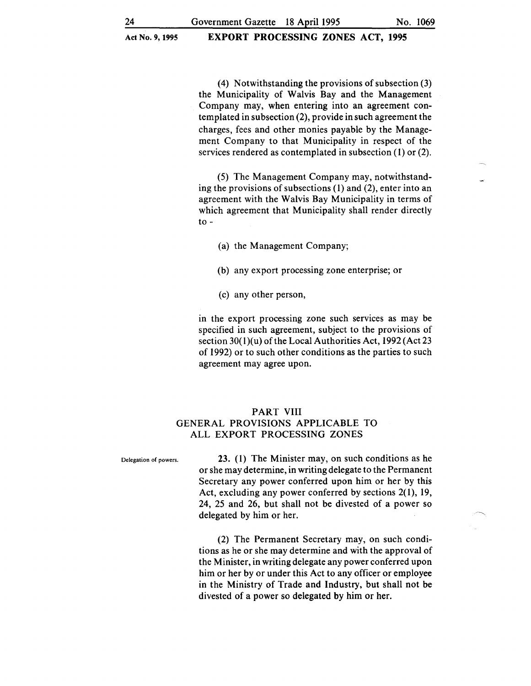(4) Notwithstanding the provisions of subsection (3) the Municipality of Walvis Bay and the Management Company may, when entering into an agreement contemplated in subsection (2), provide in such agreement the charges, fees and other monies payable by the Management Company to that Municipality in respect of the services rendered as contemplated in subsection (1) or (2).

(5) The Management Company may, notwithstanding the provisions of subsections (1) and (2), enter into an agreement with the Walvis Bay Municipality in terms of which agreement that Municipality shall render directly to-

- (a) the Management Company;
- (b) any export processing zone enterprise; or
- (c) any other person,

in the export processing zone such services as may be specified in such agreement, subject to the provisions of section 30(1)(u) of the Local Authorities Act, 1992 (Act 23 of 1992) or to such other conditions as the parties to such agreement may agree upon.

## PART VIII GENERAL PROVISIONS APPLICABLE TO ALL EXPORT PROCESSING ZONES

Delegation of powers. 23. (1) The Minister may, on such conditions as he or she may determine, in writing delegate to the Permanent Secretary any power conferred upon him or her by this Act, excluding any power conferred by sections 2(1), 19, 24, 25 and 26, but shall not be divested of a power so delegated by him or her.

> (2) The Permanent Secretary may, on such conditions as he or she may determine and with the approval of the Minister, in writing delegate any power conferred upon him or her by or under this Act to any officer or employee in the Ministry of Trade and Industry, but shall not be divested of a power so delegated by him or her.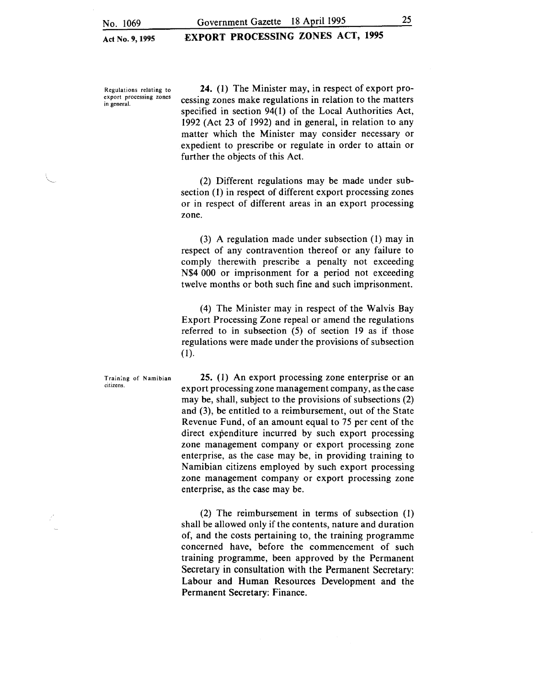EXPORT PROCESSING ZONES ACT, 1995

Regulations relating to export processing zones in general.

24. (1) The Minister may, in respect of export processing zones make regulations in relation to the matters specified in section 94(1) of the Local Authorities Act, 1992 (Act 23 of 1992) and in general, in relation to any matter which the Minister may consider necessary or expedient to prescribe or regulate in order to attain or further the objects of this Act.

(2) Different regulations may be made under subsection (1) in respect of different export processing zones or in respect of different areas in an export processing zone.

(3) A regulation made under subsection (1) may in respect of any contravention thereof or any failure to comply therewith prescribe a penalty not exceeding N\$4 000 or imprisonment for a period not exceeding twelve months or both such fine and such imprisonment.

(4) The Minister may in respect of the Walvis Bay Export Processing Zone repeal or amend the regulations referred to in subsection (5) of section 19 as if those regulations were made under the provisions of subsection (1).

25. (1) An export processing zone enterprise or an export processing zone management company, as the case may be, shall, subject to the provisions of subsections (2) and (3), be entitled to a reimbursement, out of the State Revenue Fund, of an amount equal to 75 per cent of the direct expenditure incurred by such export processing zone management company or export processing zone enterprise, as the case may be, in providing training to Namibian citizens employed by such export processing zone management company or export processing zone enterprise, as the case may be.

(2) The reimbursement in terms of subsection ( 1) shall be allowed only if the contents, nature and duration of, and the costs pertaining to, the training programme concerned have, before the commencement of such training programme, been approved by the Permanent Secretary in consultation with the Permanent Secretary: Labour and Human Resources Development and the Permanent Secretary: Finance.

Training of Namibian citizens.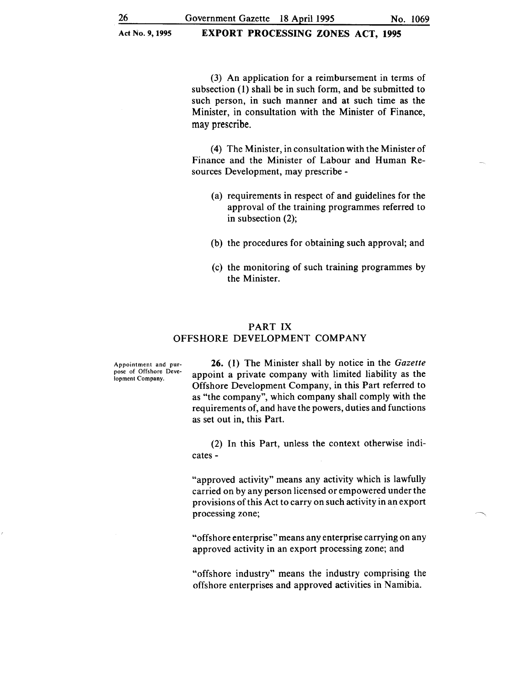(3) An application for a reimbursement in terms of subsection (1) shall be in such form, and be submitted to such person, in such manner and at such time as the Minister, in consultation with the Minister of Finance, may prescribe.

(4) The Minister, in consultation with the Minister of Finance and the Minister of Labour and Human Resources Development, may prescribe -

- (a) requirements in respect of and guidelines for the approval of the training programmes referred to in subsection (2);
- (b) the procedures for obtaining such approval; and
- (c) the monitoring of such training programmes by the Minister.

## PART IX OFFSHORE DEVELOPMENT COMPANY

Appointment and purpose of Offshore Development Company.

26. (I) The Minister shall by notice in the *Gazette*  appoint a private company with limited liability as the Offshore Development Company, in this Part referred to as "the company", which company shall comply with the requirements of, and have the powers, duties and functions as set out in, this Part.

(2) In this Part, unless the context otherwise indicates-

"approved activity" means any activity which is lawfully carried on by any person licensed or empowered under the provisions of this Act to carry on such activity in an export processing zone;

"offshore enterprise" means any enterprise carrying on any approved activity in an export processing zone; and

"offshore industry" means the industry comprising the offshore enterprises and approved activities in Namibia.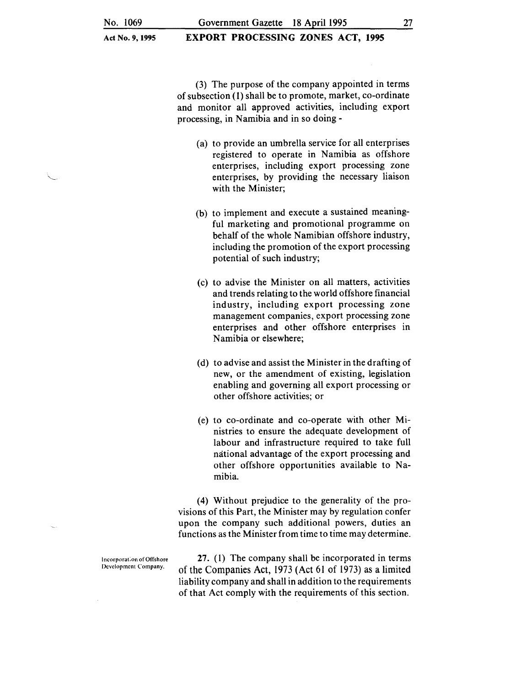EXPORT PROCESSING ZONES ACT, 1995

(3) The purpose of the company appointed in terms of subsection ( 1) shall be to promote, market, co-ordinate and monitor all approved activities, including export processing, in Namibia and in so doing -

- (a) to provide an umbrella service for all enterprises registered to operate in Namibia as offshore enterprises, including export processing zone enterprises, by providing the necessary liaison with the Minister;
- (b) to implement and execute a sustained meaningful marketing and promotional programme on behalf of the whole Namibian offshore industry, including the promotion of the export processing potential of such industry;
- (c) to advise the Minister on all matters, activities and trends relating to the world offshore financial industry, including export processing zone management companies, export processing zone enterprises and other offshore enterprises in Namibia or elsewhere;
- (d) to advise and assist the Minister in the drafting of new, or the amendment of existing, legislation enabling and governing all export processing or other offshore activities; or
- (e) to co-ordinate and co-operate with other Ministries to ensure the adequate development of labour and infrastructure required to take full mitional advantage of the export processing and other offshore opportunities available to Namibia.

( 4) Without prejudice to the generality of the provisions of this Part, the Minister may by regulation confer upon the company such additional powers, duties an functions as the Minister from time to time may determine.

I ncorporat ;on of Offshore Development Company.

27. (1) The company shall be incorporated in terms of the Companies Act, 1973 (Act 61 of 1973) as a limited liability company and shall in addition to the requirements of that Act comply with the requirements of this section.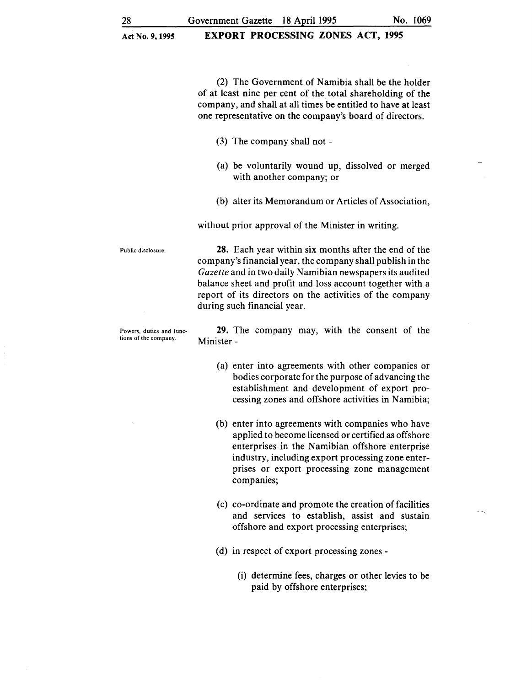(2) The Government of Namibia shall be the holder of at least nine per cent of the total shareholding of the company, and shall at all times be entitled to have at least one representative on the company's board of directors.

- (3) The company shall not -
- (a) be voluntarily wound up, dissolved or merged with another company; or
- (b) alter its Memorandum or Articles of Association,

without prior approval of the Minister in writing.

tions of the company. Minister -

Public d:sciosure. 28. Each year within six months after the end of the company's financial year, the company shall publish in the *Gazette* and in two daily Namibian newspapers its audited balance sheet and profit and loss account together with a report of its directors on the activities of the company during such financial year.

Powers, duties and func- 29. The company may, with the consent of the

- (a) enter into agreements with other companies or bodies corporate for the purpose of advancing the establishment and development of export processing zones and offshore activities in Namibia;
- (b) enter into agreements with companies who have applied to become licensed or certified as offshore enterprises in the Namibian offshore enterprise industry, including export processing zone enterprises or export processing zone management companies;
- (c) co-ordinate and promote the creation of facilities and services to establish, assist and sustain offshore and export processing enterprises;
- (d) in respect of export processing zones-
	- (i) determine fees, charges or other levies to be paid by offshore enterprises;